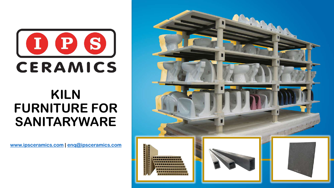

# **KILN FURNITURE FOR SANITARYWARE**

**[www.ipsceramics.com](http://www.ipsceramics.com/) | [enq@ipsceramics.com](mailto:enq@ipsceramics.com)**

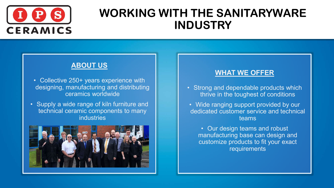

### **WORKING WITH THE SANITARYWARE INDUSTRY**

### **ABOUT US**

- Collective 250+ years experience with designing, manufacturing and distributing ceramics worldwide
- Supply a wide range of kiln furniture and technical ceramic components to many industries



#### **WHAT WE OFFER**

- Strong and dependable products which thrive in the toughest of conditions
- Wide ranging support provided by our dedicated customer service and technical teams
	- Our design teams and robust manufacturing base can design and customize products to fit your exact requirements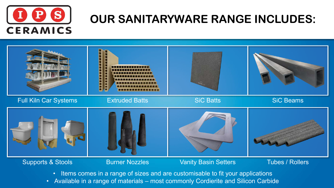

## **OUR SANITARYWARE RANGE INCLUDES:**



- Items comes in a range of sizes and are customisable to fit your applications
- Available in a range of materials most commonly Cordierite and Silicon Carbide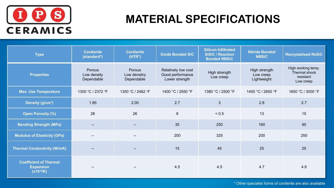

## **MATERIAL SPECIFICATIONS**

| <b>Type</b>                                                         | <b>Cordierite</b><br>(standard*)    | <b>Cordierite</b><br>$(HTR*)$        | <b>Oxide Bonded SiC</b>                                   | <b>Silicon Infiltrated</b><br><b>SiSiC / Reaction</b><br><b>Bonded RBSiC</b> | <b>Nitride Bonded</b><br><b>NBSiC</b>     | <b>Recrystalised ReSiC</b>                                    |
|---------------------------------------------------------------------|-------------------------------------|--------------------------------------|-----------------------------------------------------------|------------------------------------------------------------------------------|-------------------------------------------|---------------------------------------------------------------|
| <b>Properties</b>                                                   | Porous<br>Low density<br>Dependable | Porous<br>Low densitry<br>Dependable | Relatively low cost<br>Good performance<br>Lower strength | High strength<br>Low creep                                                   | High strength<br>Low creep<br>Lightweight | High working temp.<br>Thermal shock<br>resistant<br>Low creep |
| <b>Max. Use Temperature</b>                                         | 1300 °C / 2372 °F                   | 1350 °C / 2462 °F                    | 1400 °C / 2550 °F                                         | 1380 °C / 2500 °F                                                            | 1450 °C / 2650 °F                         | 1650 °C / 3000 °F                                             |
| Density (g/cm <sup>3</sup> )                                        | 1.85                                | 2.00                                 | 2.7                                                       | 3                                                                            | 2.8                                       | 2.7                                                           |
| <b>Open Porosity (%)</b>                                            | 28                                  | 26                                   | 8                                                         | < 0.5                                                                        | 13                                        | 15                                                            |
| <b>Bending Strength (MPa)</b>                                       | $\overline{\phantom{a}}$            | $\qquad \qquad -$                    | 35                                                        | 250                                                                          | 160                                       | 90                                                            |
| <b>Modulus of Elasticity (GPa)</b>                                  | $-$                                 |                                      | 200                                                       | 325                                                                          | 200                                       | 250                                                           |
| <b>Thermal Conductivity (W/mK)</b>                                  | --                                  | --                                   | 15                                                        | 45                                                                           | 25                                        | 25                                                            |
| <b>Coefficient of Thermal</b><br><b>Expansion</b><br>$(X10^{-6}/K)$ |                                     |                                      | 4.5                                                       | 4.5                                                                          | 4.7                                       | 4.8                                                           |